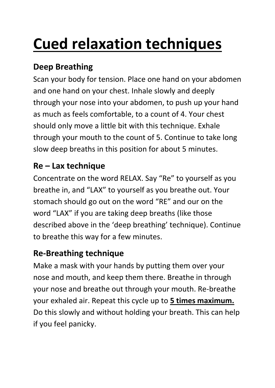# **Cued relaxation techniques**

## **Deep Breathing**

Scan your body for tension. Place one hand on your abdomen and one hand on your chest. Inhale slowly and deeply through your nose into your abdomen, to push up your hand as much as feels comfortable, to a count of 4. Your chest should only move a little bit with this technique. Exhale through your mouth to the count of 5. Continue to take long slow deep breaths in this position for about 5 minutes.

#### **Re – Lax technique**

Concentrate on the word RELAX. Say "Re" to yourself as you breathe in, and "LAX" to yourself as you breathe out. Your stomach should go out on the word "RE" and our on the word "LAX" if you are taking deep breaths (like those described above in the 'deep breathing' technique). Continue to breathe this way for a few minutes.

### **Re-Breathing technique**

Make a mask with your hands by putting them over your nose and mouth, and keep them there. Breathe in through your nose and breathe out through your mouth. Re-breathe your exhaled air. Repeat this cycle up to **5 times maximum.** Do this slowly and without holding your breath. This can help if you feel panicky.